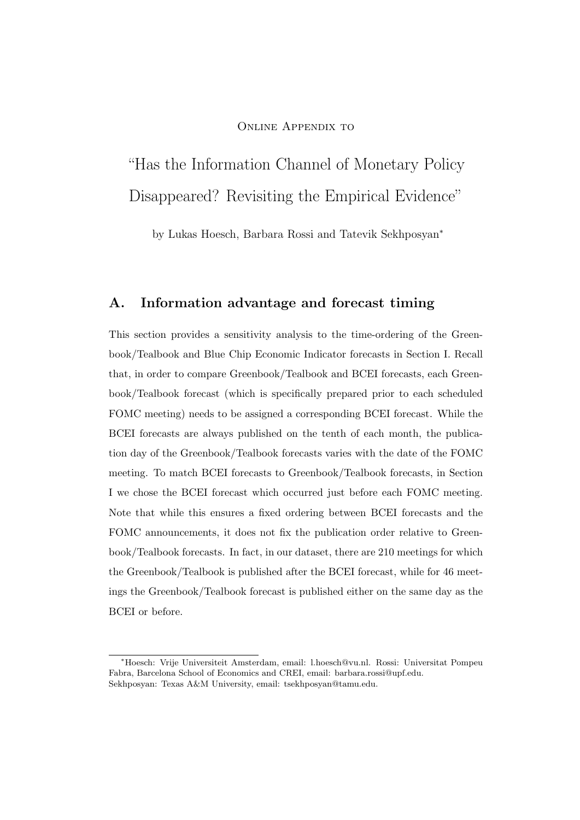### ONLINE APPENDIX TO

# "Has the Information Channel of Monetary Policy Disappeared? Revisiting the Empirical Evidence"

by Lukas Hoesch, Barbara Rossi and Tatevik Sekhposyan<sup>∗</sup>

### A. Information advantage and forecast timing

This section provides a sensitivity analysis to the time-ordering of the Greenbook/Tealbook and Blue Chip Economic Indicator forecasts in Section I. Recall that, in order to compare Greenbook/Tealbook and BCEI forecasts, each Greenbook/Tealbook forecast (which is specifically prepared prior to each scheduled FOMC meeting) needs to be assigned a corresponding BCEI forecast. While the BCEI forecasts are always published on the tenth of each month, the publication day of the Greenbook/Tealbook forecasts varies with the date of the FOMC meeting. To match BCEI forecasts to Greenbook/Tealbook forecasts, in Section I we chose the BCEI forecast which occurred just before each FOMC meeting. Note that while this ensures a fixed ordering between BCEI forecasts and the FOMC announcements, it does not fix the publication order relative to Greenbook/Tealbook forecasts. In fact, in our dataset, there are 210 meetings for which the Greenbook/Tealbook is published after the BCEI forecast, while for 46 meetings the Greenbook/Tealbook forecast is published either on the same day as the BCEI or before.

<sup>∗</sup>Hoesch: Vrije Universiteit Amsterdam, email: [l.hoesch@vu.nl.](mailto:l.hoesch@vu.nl) Rossi: Universitat Pompeu Fabra, Barcelona School of Economics and CREI, email: [barbara.rossi@upf.edu.](mailto:barbara.rossi@upf.edu) Sekhposyan: Texas A&M University, email: [tsekhposyan@tamu.edu.](mailto:tsekhposyan@tamu.edu)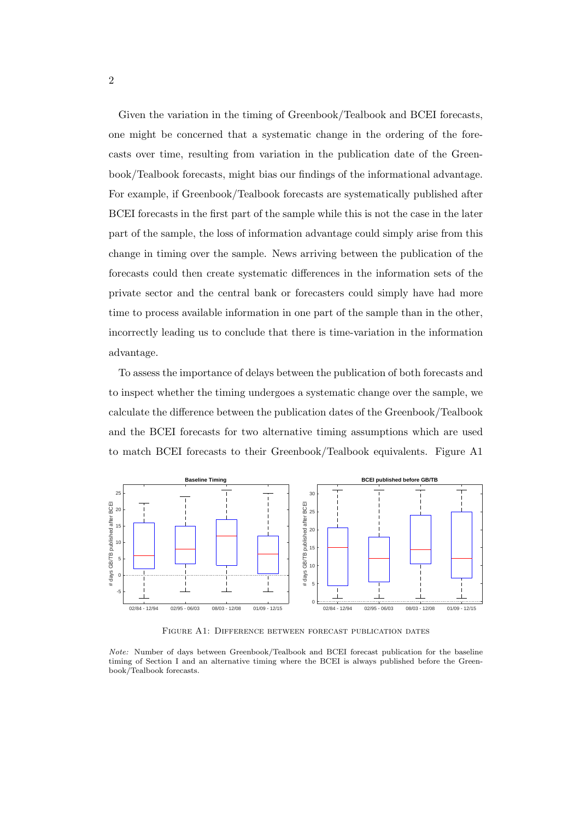Given the variation in the timing of Greenbook/Tealbook and BCEI forecasts, one might be concerned that a systematic change in the ordering of the forecasts over time, resulting from variation in the publication date of the Greenbook/Tealbook forecasts, might bias our findings of the informational advantage. For example, if Greenbook/Tealbook forecasts are systematically published after BCEI forecasts in the first part of the sample while this is not the case in the later part of the sample, the loss of information advantage could simply arise from this change in timing over the sample. News arriving between the publication of the forecasts could then create systematic differences in the information sets of the private sector and the central bank or forecasters could simply have had more time to process available information in one part of the sample than in the other, incorrectly leading us to conclude that there is time-variation in the information advantage.

To assess the importance of delays between the publication of both forecasts and to inspect whether the timing undergoes a systematic change over the sample, we calculate the difference between the publication dates of the Greenbook/Tealbook and the BCEI forecasts for two alternative timing assumptions which are used to match BCEI forecasts to their Greenbook/Tealbook equivalents. Figure [A1](#page-1-0)



<span id="page-1-0"></span>Figure A1: Difference between forecast publication dates

Note: Number of days between Greenbook/Tealbook and BCEI forecast publication for the baseline timing of Section I and an alternative timing where the BCEI is always published before the Greenbook/Tealbook forecasts.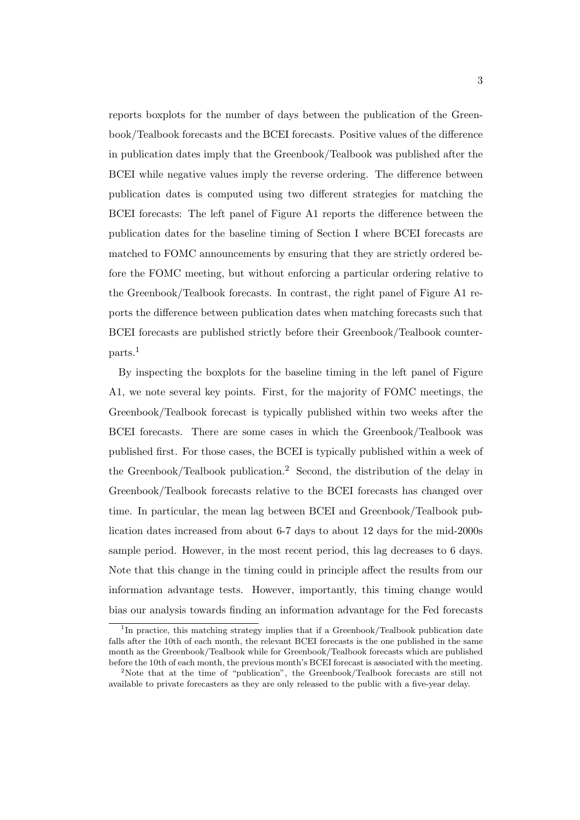reports boxplots for the number of days between the publication of the Greenbook/Tealbook forecasts and the BCEI forecasts. Positive values of the difference in publication dates imply that the Greenbook/Tealbook was published after the BCEI while negative values imply the reverse ordering. The difference between publication dates is computed using two different strategies for matching the BCEI forecasts: The left panel of Figure [A1](#page-1-0) reports the difference between the publication dates for the baseline timing of Section I where BCEI forecasts are matched to FOMC announcements by ensuring that they are strictly ordered before the FOMC meeting, but without enforcing a particular ordering relative to the Greenbook/Tealbook forecasts. In contrast, the right panel of Figure [A1](#page-1-0) reports the difference between publication dates when matching forecasts such that BCEI forecasts are published strictly before their Greenbook/Tealbook counterparts.[1](#page-2-0)

By inspecting the boxplots for the baseline timing in the left panel of Figure [A1,](#page-1-0) we note several key points. First, for the majority of FOMC meetings, the Greenbook/Tealbook forecast is typically published within two weeks after the BCEI forecasts. There are some cases in which the Greenbook/Tealbook was published first. For those cases, the BCEI is typically published within a week of the Greenbook/Tealbook publication.[2](#page-2-1) Second, the distribution of the delay in Greenbook/Tealbook forecasts relative to the BCEI forecasts has changed over time. In particular, the mean lag between BCEI and Greenbook/Tealbook publication dates increased from about 6-7 days to about 12 days for the mid-2000s sample period. However, in the most recent period, this lag decreases to 6 days. Note that this change in the timing could in principle affect the results from our information advantage tests. However, importantly, this timing change would bias our analysis towards finding an information advantage for the Fed forecasts

<span id="page-2-0"></span><sup>&</sup>lt;sup>1</sup>In practice, this matching strategy implies that if a Greenbook/Tealbook publication date falls after the 10th of each month, the relevant BCEI forecasts is the one published in the same month as the Greenbook/Tealbook while for Greenbook/Tealbook forecasts which are published before the 10th of each month, the previous month's BCEI forecast is associated with the meeting.

<span id="page-2-1"></span><sup>&</sup>lt;sup>2</sup>Note that at the time of "publication", the Greenbook/Tealbook forecasts are still not available to private forecasters as they are only released to the public with a five-year delay.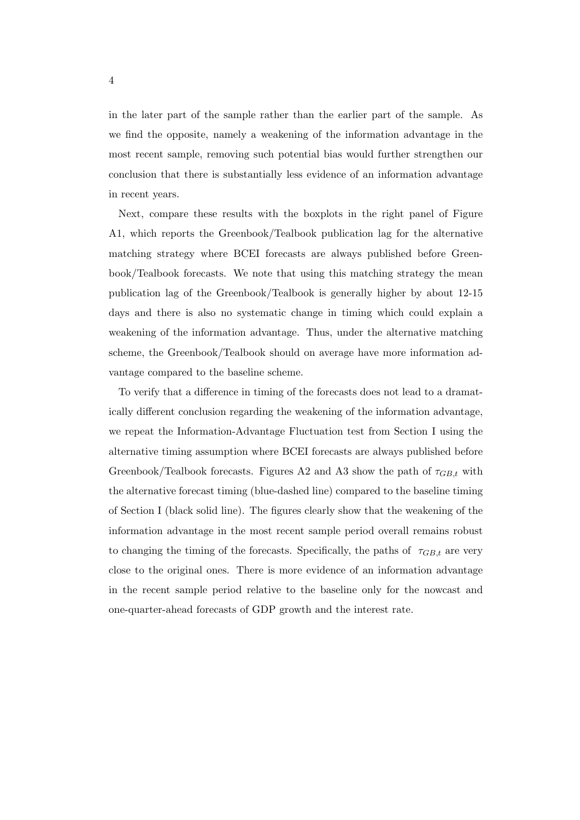in the later part of the sample rather than the earlier part of the sample. As we find the opposite, namely a weakening of the information advantage in the most recent sample, removing such potential bias would further strengthen our conclusion that there is substantially less evidence of an information advantage in recent years.

Next, compare these results with the boxplots in the right panel of Figure [A1,](#page-1-0) which reports the Greenbook/Tealbook publication lag for the alternative matching strategy where BCEI forecasts are always published before Greenbook/Tealbook forecasts. We note that using this matching strategy the mean publication lag of the Greenbook/Tealbook is generally higher by about 12-15 days and there is also no systematic change in timing which could explain a weakening of the information advantage. Thus, under the alternative matching scheme, the Greenbook/Tealbook should on average have more information advantage compared to the baseline scheme.

To verify that a difference in timing of the forecasts does not lead to a dramatically different conclusion regarding the weakening of the information advantage, we repeat the Information-Advantage Fluctuation test from Section I using the alternative timing assumption where BCEI forecasts are always published before Greenbook/Tealbook forecasts. Figures [A2](#page-4-0) and [A3](#page-5-0) show the path of  $\tau_{GB,t}$  with the alternative forecast timing (blue-dashed line) compared to the baseline timing of Section I (black solid line). The figures clearly show that the weakening of the information advantage in the most recent sample period overall remains robust to changing the timing of the forecasts. Specifically, the paths of  $\tau_{GB,t}$  are very close to the original ones. There is more evidence of an information advantage in the recent sample period relative to the baseline only for the nowcast and one-quarter-ahead forecasts of GDP growth and the interest rate.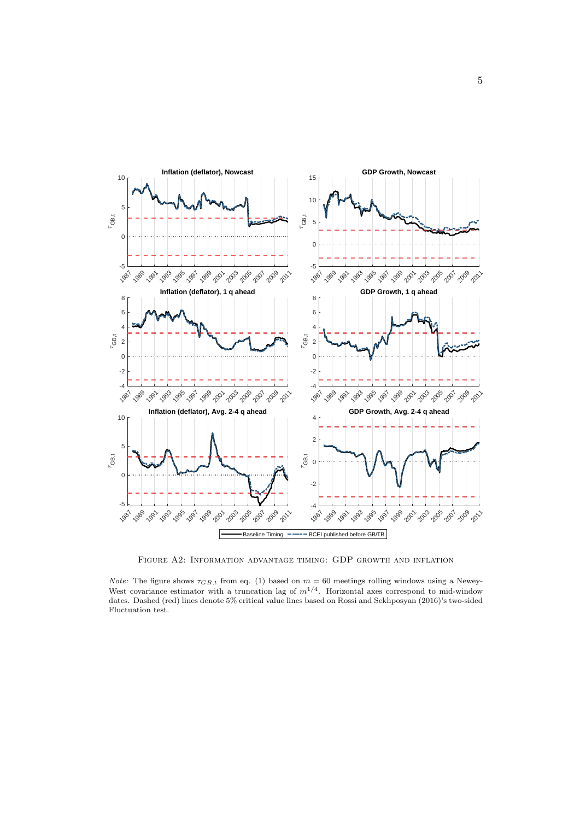

<span id="page-4-0"></span>Figure A2: Information advantage timing: GDP growth and inflation

*Note:* The figure shows  $\tau_{GB,t}$  from eq. (1) based on  $m = 60$  meetings rolling windows using a Newey-West covariance estimator with a truncation lag of  $m^{1/4}$ . Horizontal axes correspond to mid-window dates. Dashed (red) lines denote 5% critical value lines based on [Rossi and Sekhposyan](#page-19-0) [\(2016\)](#page-19-0)'s two-sided Fluctuation test.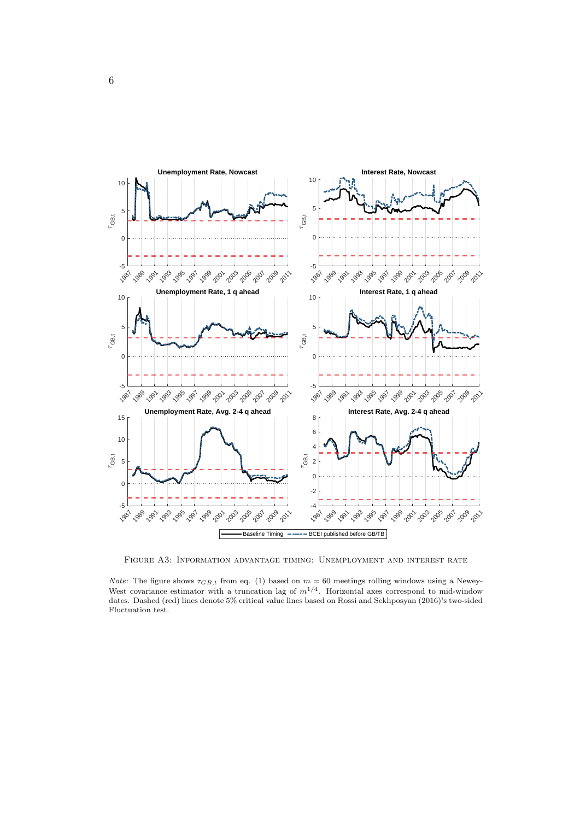

<span id="page-5-0"></span>Figure A3: Information advantage timing: Unemployment and interest rate

*Note:* The figure shows  $\tau_{GB,t}$  from eq. (1) based on  $m = 60$  meetings rolling windows using a Newey-West covariance estimator with a truncation lag of  $m^{1/4}$ . Horizontal axes correspond to mid-window dates. Dashed (red) lines denote 5% critical value lines based on [Rossi and Sekhposyan](#page-19-0) [\(2016\)](#page-19-0)'s two-sided Fluctuation test.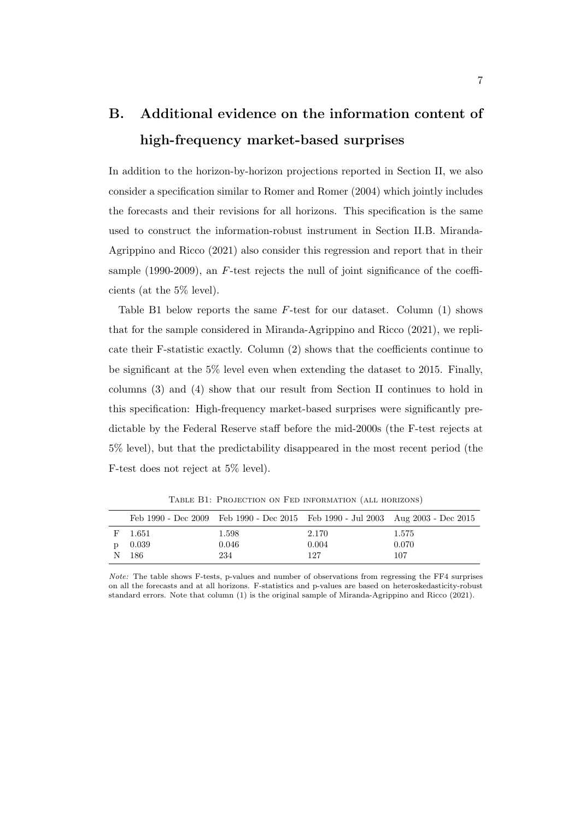## B. Additional evidence on the information content of high-frequency market-based surprises

In addition to the horizon-by-horizon projections reported in Section II, we also consider a specification similar to [Romer and Romer](#page-19-1) [\(2004\)](#page-19-1) which jointly includes the forecasts and their revisions for all horizons. This specification is the same used to construct the information-robust instrument in Section II.B. [Miranda-](#page-19-2)[Agrippino and Ricco](#page-19-2) [\(2021\)](#page-19-2) also consider this regression and report that in their sample (1990-2009), an F-test rejects the null of joint significance of the coefficients (at the 5% level).

Table [B1](#page-6-0) below reports the same F-test for our dataset. Column (1) shows that for the sample considered in [Miranda-Agrippino and Ricco](#page-19-2) [\(2021\)](#page-19-2), we replicate their F-statistic exactly. Column (2) shows that the coefficients continue to be significant at the 5% level even when extending the dataset to 2015. Finally, columns (3) and (4) show that our result from Section II continues to hold in this specification: High-frequency market-based surprises were significantly predictable by the Federal Reserve staff before the mid-2000s (the F-test rejects at 5% level), but that the predictability disappeared in the most recent period (the F-test does not reject at 5% level).

|   |       | Feb 1990 - Dec 2009 Feb 1990 - Dec 2015 Feb 1990 - Jul 2003 Aug 2003 - Dec 2015 |       |       |
|---|-------|---------------------------------------------------------------------------------|-------|-------|
| F | 1.651 | 1.598                                                                           | 2.170 | 1.575 |
|   | 0.039 | 0.046                                                                           | 0.004 | 0.070 |
|   | 186   | 234                                                                             | 127   | 107   |

<span id="page-6-0"></span>Table B1: Projection on Fed information (all horizons)

Note: The table shows F-tests, p-values and number of observations from regressing the FF4 surprises on all the forecasts and at all horizons. F-statistics and p-values are based on heteroskedasticity-robust standard errors. Note that column (1) is the original sample of [Miranda-Agrippino and Ricco](#page-19-2) [\(2021\)](#page-19-2).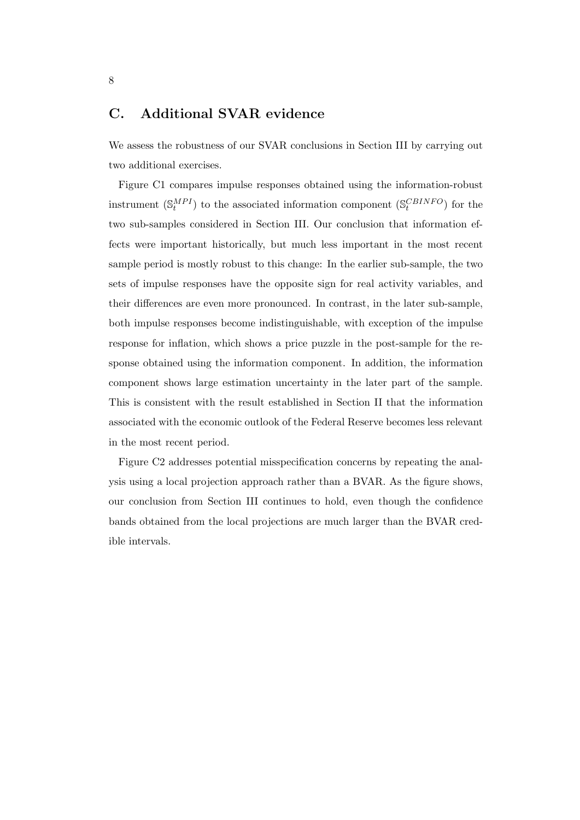## C. Additional SVAR evidence

We assess the robustness of our SVAR conclusions in Section III by carrying out two additional exercises.

Figure [C1](#page-8-0) compares impulse responses obtained using the information-robust instrument  $(\mathbb{S}^{MPI}_{t})$  to the associated information component  $(\mathbb{S}^{CBINFO}_{t})$  for the two sub-samples considered in Section III. Our conclusion that information effects were important historically, but much less important in the most recent sample period is mostly robust to this change: In the earlier sub-sample, the two sets of impulse responses have the opposite sign for real activity variables, and their differences are even more pronounced. In contrast, in the later sub-sample, both impulse responses become indistinguishable, with exception of the impulse response for inflation, which shows a price puzzle in the post-sample for the response obtained using the information component. In addition, the information component shows large estimation uncertainty in the later part of the sample. This is consistent with the result established in Section II that the information associated with the economic outlook of the Federal Reserve becomes less relevant in the most recent period.

Figure [C2](#page-9-0) addresses potential misspecification concerns by repeating the analysis using a local projection approach rather than a BVAR. As the figure shows, our conclusion from Section III continues to hold, even though the confidence bands obtained from the local projections are much larger than the BVAR credible intervals.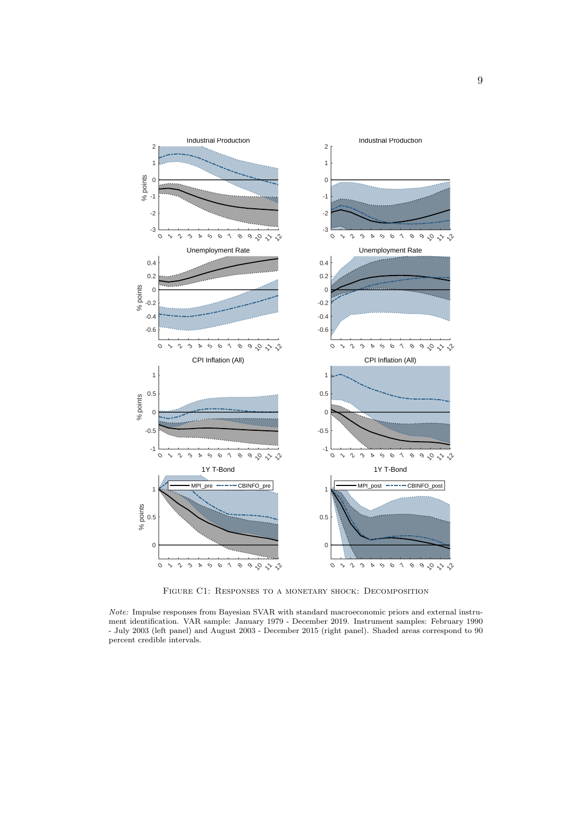

<span id="page-8-0"></span>Figure C1: Responses to a monetary shock: Decomposition

Note: Impulse responses from Bayesian SVAR with standard macroeconomic priors and external instrument identification. VAR sample: January 1979 - December 2019. Instrument samples: February 1990 - July 2003 (left panel) and August 2003 - December 2015 (right panel). Shaded areas correspond to 90 percent credible intervals.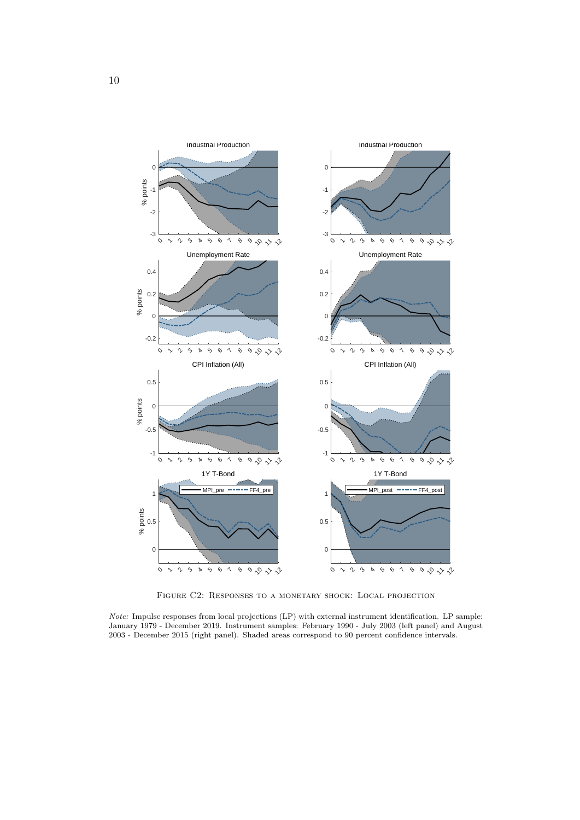

<span id="page-9-0"></span>Figure C2: Responses to a monetary shock: Local projection

Note: Impulse responses from local projections (LP) with external instrument identification. LP sample: January 1979 - December 2019. Instrument samples: February 1990 - July 2003 (left panel) and August 2003 - December 2015 (right panel). Shaded areas correspond to 90 percent confidence intervals.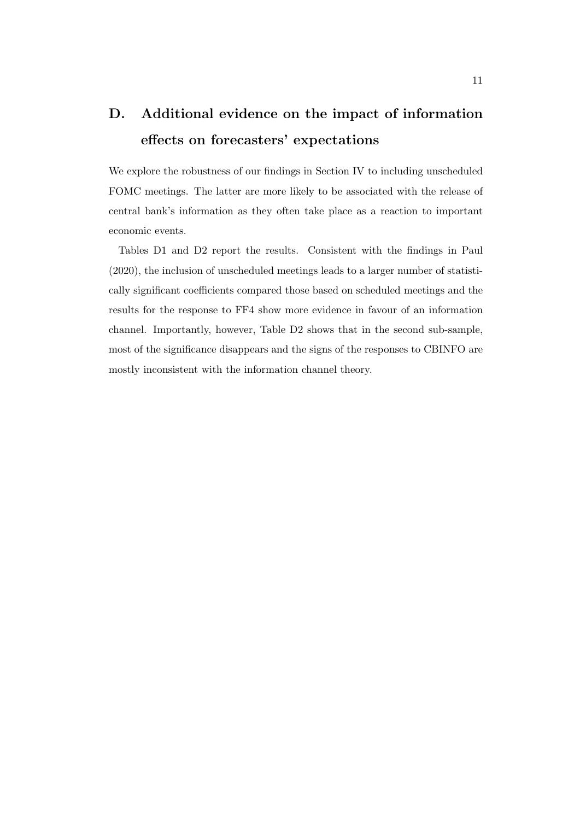## D. Additional evidence on the impact of information effects on forecasters' expectations

We explore the robustness of our findings in Section IV to including unscheduled FOMC meetings. The latter are more likely to be associated with the release of central bank's information as they often take place as a reaction to important economic events.

Tables [D1](#page-11-0) and [D2](#page-12-0) report the results. Consistent with the findings in [Paul](#page-19-3) [\(2020\)](#page-19-3), the inclusion of unscheduled meetings leads to a larger number of statistically significant coefficients compared those based on scheduled meetings and the results for the response to FF4 show more evidence in favour of an information channel. Importantly, however, Table [D2](#page-12-0) shows that in the second sub-sample, most of the significance disappears and the signs of the responses to CBINFO are mostly inconsistent with the information channel theory.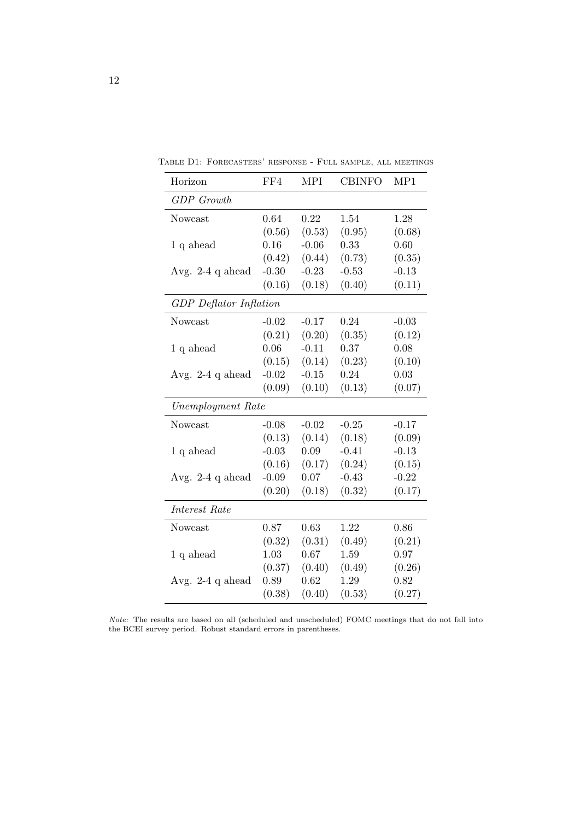<span id="page-11-0"></span>

| Horizon                       | FF4     | <b>MPI</b> | <b>CBINFO</b> | MP1     |  |  |  |  |
|-------------------------------|---------|------------|---------------|---------|--|--|--|--|
| <b>GDP</b> Growth             |         |            |               |         |  |  |  |  |
| Nowcast                       | 0.64    | 0.22       | 1.54          | 1.28    |  |  |  |  |
|                               | (0.56)  | (0.53)     | (0.95)        | (0.68)  |  |  |  |  |
| $1 q$ ahead                   | 0.16    | $-0.06$    | 0.33          | 0.60    |  |  |  |  |
|                               | (0.42)  | (0.44)     | (0.73)        | (0.35)  |  |  |  |  |
| Avg. $2-4$ q ahead            | $-0.30$ | $-0.23$    | $-0.53$       | $-0.13$ |  |  |  |  |
|                               | (0.16)  | (0.18)     | (0.40)        | (0.11)  |  |  |  |  |
| <b>GDP</b> Deflator Inflation |         |            |               |         |  |  |  |  |
| Nowcast                       | $-0.02$ | $-0.17$    | 0.24          | $-0.03$ |  |  |  |  |
|                               | (0.21)  | (0.20)     | (0.35)        | (0.12)  |  |  |  |  |
| $1 q$ ahead                   | 0.06    | $-0.11$    | 0.37          | 0.08    |  |  |  |  |
|                               | (0.15)  | (0.14)     | (0.23)        | (0.10)  |  |  |  |  |
| Avg. $2-4$ q ahead            | $-0.02$ | $-0.15$    | 0.24          | 0.03    |  |  |  |  |
|                               | (0.09)  | (0.10)     | (0.13)        | (0.07)  |  |  |  |  |
| Unemployment Rate             |         |            |               |         |  |  |  |  |
| Nowcast                       | $-0.08$ | $-0.02$    | $-0.25$       | $-0.17$ |  |  |  |  |
|                               | (0.13)  | (0.14)     | (0.18)        | (0.09)  |  |  |  |  |
| $1 q$ ahead                   | $-0.03$ | 0.09       | $-0.41$       | $-0.13$ |  |  |  |  |
|                               | (0.16)  | (0.17)     | (0.24)        | (0.15)  |  |  |  |  |
| Avg. $2-4$ q ahead            | $-0.09$ | 0.07       | $-0.43$       | $-0.22$ |  |  |  |  |
|                               | (0.20)  | (0.18)     | (0.32)        | (0.17)  |  |  |  |  |
| Interest Rate                 |         |            |               |         |  |  |  |  |
| Nowcast                       | 0.87    | 0.63       | 1.22          | 0.86    |  |  |  |  |
|                               | (0.32)  | (0.31)     | (0.49)        | (0.21)  |  |  |  |  |
| 1 q ahead                     | 1.03    | 0.67       | 1.59          | 0.97    |  |  |  |  |
|                               | (0.37)  | (0.40)     | (0.49)        | (0.26)  |  |  |  |  |
| Avg. 2-4 q ahead              | 0.89    | 0.62       | 1.29          | 0.82    |  |  |  |  |
|                               | (0.38)  | (0.40)     | (0.53)        | (0.27)  |  |  |  |  |

Table D1: Forecasters' response - Full sample, all meetings

Note: The results are based on all (scheduled and unscheduled) FOMC meetings that do not fall into the BCEI survey period. Robust standard errors in parentheses.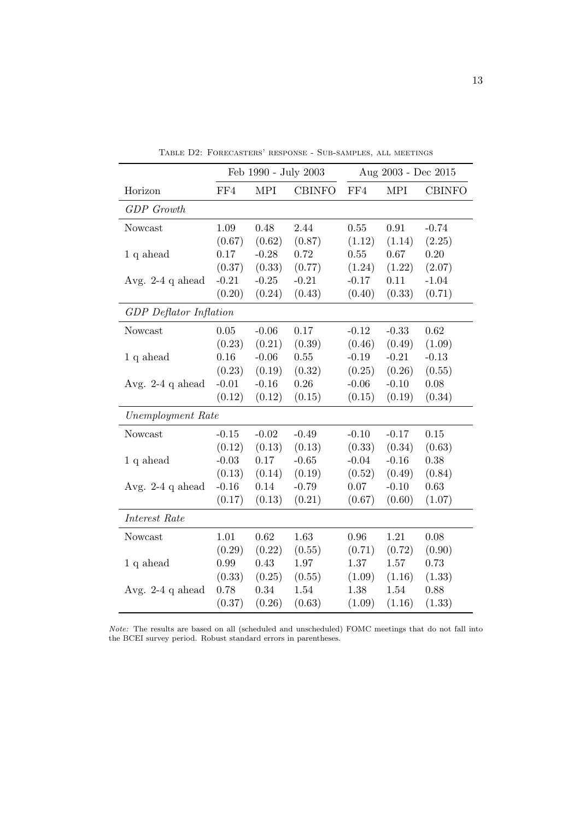|                               | Feb 1990 - July 2003 |            |               | Aug 2003 - Dec 2015 |            |               |  |
|-------------------------------|----------------------|------------|---------------|---------------------|------------|---------------|--|
| Horizon                       | FF4                  | <b>MPI</b> | <b>CBINFO</b> | FF4                 | <b>MPI</b> | <b>CBINFO</b> |  |
| <b>GDP</b> Growth             |                      |            |               |                     |            |               |  |
| Nowcast                       | 1.09                 | 0.48       | 2.44          | $0.55\,$            | 0.91       | $-0.74$       |  |
|                               | (0.67)               | (0.62)     | (0.87)        | (1.12)              | (1.14)     | (2.25)        |  |
| $1 q$ ahead                   | 0.17                 | $-0.28$    | 0.72          | 0.55                | 0.67       | 0.20          |  |
|                               | (0.37)               | (0.33)     | (0.77)        | (1.24)              | (1.22)     | (2.07)        |  |
| Avg. $2-4$ q ahead            | $-0.21$              | $-0.25$    | $-0.21$       | $-0.17$             | 0.11       | $-1.04$       |  |
|                               | (0.20)               | (0.24)     | (0.43)        | (0.40)              | (0.33)     | (0.71)        |  |
| <b>GDP</b> Deflator Inflation |                      |            |               |                     |            |               |  |
| Nowcast                       | 0.05                 | $-0.06$    | 0.17          | $-0.12$             | $-0.33$    | 0.62          |  |
|                               | (0.23)               | (0.21)     | (0.39)        | (0.46)              | (0.49)     | (1.09)        |  |
| $1 q$ ahead                   | 0.16                 | $-0.06$    | $0.55\,$      | $-0.19$             | $-0.21$    | $-0.13$       |  |
|                               | (0.23)               | (0.19)     | (0.32)        | (0.25)              | (0.26)     | (0.55)        |  |
| Avg. $2-4$ q ahead            | $-0.01$              | $-0.16$    | $0.26\,$      | $-0.06$             | $-0.10$    | 0.08          |  |
|                               | (0.12)               | (0.12)     | (0.15)        | (0.15)              | (0.19)     | (0.34)        |  |
| Unemployment Rate             |                      |            |               |                     |            |               |  |
| Nowcast                       | $-0.15$              | $-0.02$    | $-0.49$       | $-0.10$             | $-0.17$    | 0.15          |  |
|                               | (0.12)               | (0.13)     | (0.13)        | (0.33)              | (0.34)     | (0.63)        |  |
| $1 q$ ahead                   | $-0.03$              | 0.17       | $-0.65$       | $-0.04$             | $-0.16$    | 0.38          |  |
|                               | (0.13)               | (0.14)     | (0.19)        | (0.52)              | (0.49)     | (0.84)        |  |
| Avg. $2-4$ q ahead            | $-0.16$              | 0.14       | $-0.79$       | 0.07                | $-0.10$    | 0.63          |  |
|                               | (0.17)               | (0.13)     | (0.21)        | (0.67)              | (0.60)     | (1.07)        |  |
| Interest Rate                 |                      |            |               |                     |            |               |  |
| Nowcast                       | 1.01                 | 0.62       | 1.63          | 0.96                | 1.21       | 0.08          |  |
|                               | (0.29)               | (0.22)     | (0.55)        | (0.71)              | (0.72)     | (0.90)        |  |
| 1 q ahead                     | 0.99                 | 0.43       | 1.97          | 1.37                | 1.57       | 0.73          |  |
|                               | (0.33)               | (0.25)     | (0.55)        | (1.09)              | (1.16)     | (1.33)        |  |
| Avg. 2-4 $\neq$ ahead         | 0.78                 | 0.34       | 1.54          | 1.38                | 1.54       | 0.88          |  |
|                               | (0.37)               | (0.26)     | (0.63)        | (1.09)              | (1.16)     | (1.33)        |  |

<span id="page-12-0"></span>Table D2: Forecasters' response - Sub-samples, all meetings

Note: The results are based on all (scheduled and unscheduled) FOMC meetings that do not fall into the BCEI survey period. Robust standard errors in parentheses.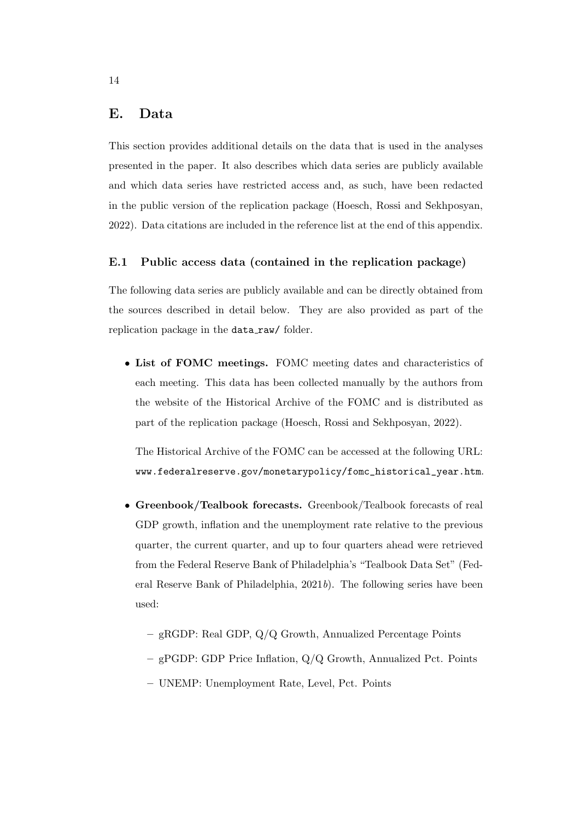## E. Data

This section provides additional details on the data that is used in the analyses presented in the paper. It also describes which data series are publicly available and which data series have restricted access and, as such, have been redacted in the public version of the replication package [\(Hoesch, Rossi and Sekhposyan,](#page-19-4) [2022\)](#page-19-4). Data citations are included in the reference list at the end of this appendix.

#### E.1 Public access data (contained in the replication package)

The following data series are publicly available and can be directly obtained from the sources described in detail below. They are also provided as part of the replication package in the data\_raw/ folder.

• List of FOMC meetings. FOMC meeting dates and characteristics of each meeting. This data has been collected manually by the authors from the website of the Historical Archive of the FOMC and is distributed as part of the replication package [\(Hoesch, Rossi and Sekhposyan,](#page-19-4) [2022\)](#page-19-4).

The Historical Archive of the FOMC can be accessed at the following URL: [www.federalreserve.gov/monetarypolicy/fomc\\_historical\\_year.htm](www.federalreserve.gov/monetarypolicy/fomc_historical_year.htm).

- Greenbook/Tealbook forecasts. Greenbook/Tealbook forecasts of real GDP growth, inflation and the unemployment rate relative to the previous quarter, the current quarter, and up to four quarters ahead were retrieved from the Federal Reserve Bank of Philadelphia's "Tealbook Data Set" [\(Fed](#page-18-0)[eral Reserve Bank of Philadelphia,](#page-18-0)  $2021b$  $2021b$ ). The following series have been used:
	- gRGDP: Real GDP, Q/Q Growth, Annualized Percentage Points
	- gPGDP: GDP Price Inflation, Q/Q Growth, Annualized Pct. Points
	- UNEMP: Unemployment Rate, Level, Pct. Points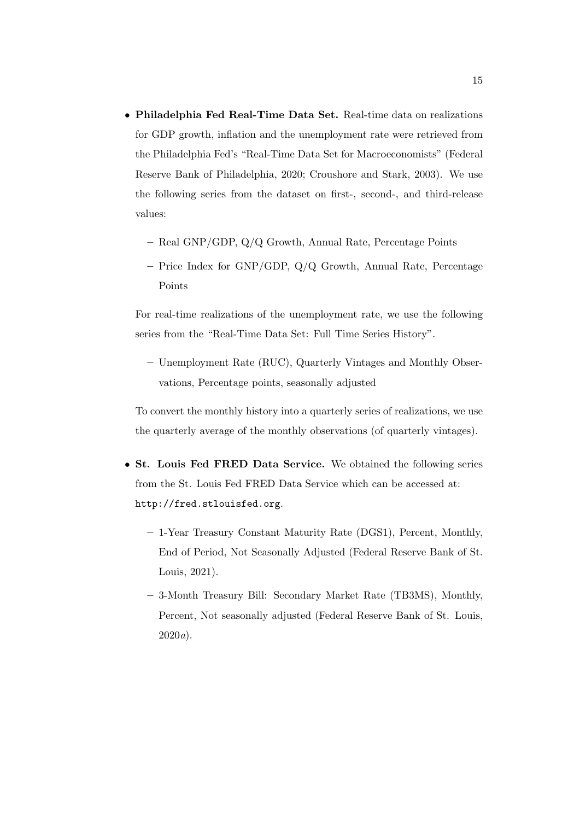- Philadelphia Fed Real-Time Data Set. Real-time data on realizations for GDP growth, inflation and the unemployment rate were retrieved from the Philadelphia Fed's "Real-Time Data Set for Macroeconomists" [\(Federal](#page-17-0) [Reserve Bank of Philadelphia,](#page-17-0) [2020;](#page-17-0) [Croushore and Stark,](#page-17-1) [2003\)](#page-17-1). We use the following series from the dataset on first-, second-, and third-release values:
	- Real GNP/GDP, Q/Q Growth, Annual Rate, Percentage Points
	- Price Index for GNP/GDP, Q/Q Growth, Annual Rate, Percentage Points

For real-time realizations of the unemployment rate, we use the following series from the "Real-Time Data Set: Full Time Series History".

– Unemployment Rate (RUC), Quarterly Vintages and Monthly Observations, Percentage points, seasonally adjusted

To convert the monthly history into a quarterly series of realizations, we use the quarterly average of the monthly observations (of quarterly vintages).

- St. Louis Fed FRED Data Service. We obtained the following series from the St. Louis Fed FRED Data Service which can be accessed at: <http://fred.stlouisfed.org>.
	- 1-Year Treasury Constant Maturity Rate (DGS1), Percent, Monthly, End of Period, Not Seasonally Adjusted [\(Federal Reserve Bank of St.](#page-18-1) [Louis,](#page-18-1) [2021\)](#page-18-1).
	- 3-Month Treasury Bill: Secondary Market Rate (TB3MS), Monthly, Percent, Not seasonally adjusted [\(Federal Reserve Bank of St. Louis,](#page-18-2) [2020](#page-18-2)a).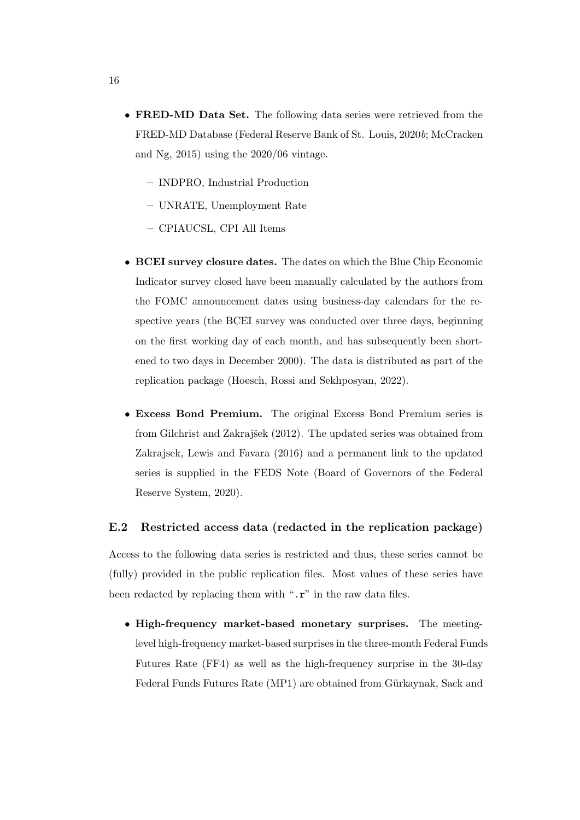- FRED-MD Data Set. The following data series were retrieved from the FRED-MD Database [\(Federal Reserve Bank of St. Louis,](#page-18-3) [2020](#page-18-3)b; [McCracken](#page-19-5) [and Ng,](#page-19-5) [2015\)](#page-19-5) using the 2020/06 vintage.
	- INDPRO, Industrial Production
	- UNRATE, Unemployment Rate
	- CPIAUCSL, CPI All Items
- BCEI survey closure dates. The dates on which the Blue Chip Economic Indicator survey closed have been manually calculated by the authors from the FOMC announcement dates using business-day calendars for the respective years (the BCEI survey was conducted over three days, beginning on the first working day of each month, and has subsequently been shortened to two days in December 2000). The data is distributed as part of the replication package [\(Hoesch, Rossi and Sekhposyan,](#page-19-4) [2022\)](#page-19-4).
- Excess Bond Premium. The original Excess Bond Premium series is from Gilchrist and Zakrajšek [\(2012\)](#page-18-4). The updated series was obtained from [Zakrajsek, Lewis and Favara](#page-19-6) [\(2016\)](#page-19-6) and a permanent link to the updated series is supplied in the FEDS Note [\(Board of Governors of the Federal](#page-17-2) [Reserve System,](#page-17-2) [2020\)](#page-17-2).

#### E.2 Restricted access data (redacted in the replication package)

Access to the following data series is restricted and thus, these series cannot be (fully) provided in the public replication files. Most values of these series have been redacted by replacing them with " $\cdot$ **r**" in the raw data files.

• High-frequency market-based monetary surprises. The meetinglevel high-frequency market-based surprises in the three-month Federal Funds Futures Rate (FF4) as well as the high-frequency surprise in the 30-day Federal Funds Futures Rate (MP1) are obtained from Gürkaynak, Sack and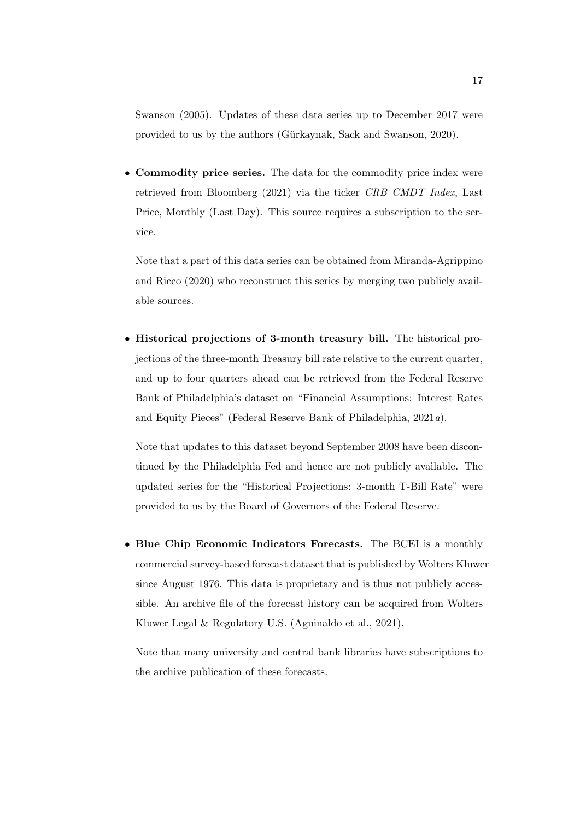[Swanson](#page-18-5) [\(2005\)](#page-18-5). Updates of these data series up to December 2017 were provided to us by the authors (Gürkaynak, Sack and Swanson, [2020\)](#page-18-6).

• Commodity price series. The data for the commodity price index were retrieved from [Bloomberg](#page-17-3) [\(2021\)](#page-17-3) via the ticker CRB CMDT Index, Last Price, Monthly (Last Day). This source requires a subscription to the service.

Note that a part of this data series can be obtained from [Miranda-Agrippino](#page-19-7) [and Ricco](#page-19-7) [\(2020\)](#page-19-7) who reconstruct this series by merging two publicly available sources.

• Historical projections of 3-month treasury bill. The historical projections of the three-month Treasury bill rate relative to the current quarter, and up to four quarters ahead can be retrieved from the Federal Reserve Bank of Philadelphia's dataset on "Financial Assumptions: Interest Rates and Equity Pieces" [\(Federal Reserve Bank of Philadelphia,](#page-17-4) [2021](#page-17-4)a).

Note that updates to this dataset beyond September 2008 have been discontinued by the Philadelphia Fed and hence are not publicly available. The updated series for the "Historical Projections: 3-month T-Bill Rate" were provided to us by the Board of Governors of the Federal Reserve.

• Blue Chip Economic Indicators Forecasts. The BCEI is a monthly commercial survey-based forecast dataset that is published by Wolters Kluwer since August 1976. This data is proprietary and is thus not publicly accessible. An archive file of the forecast history can be acquired from Wolters Kluwer Legal & Regulatory U.S. [\(Aguinaldo et al.,](#page-17-5) [2021\)](#page-17-5).

Note that many university and central bank libraries have subscriptions to the archive publication of these forecasts.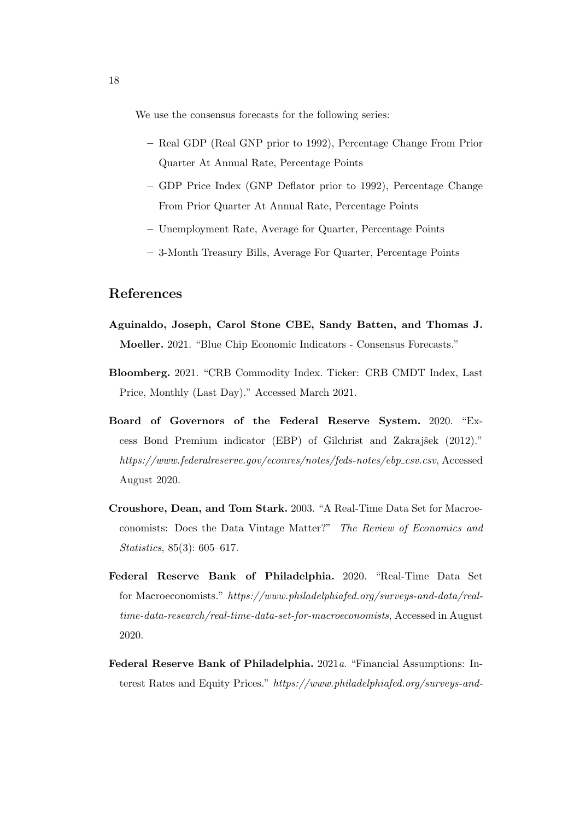We use the consensus forecasts for the following series:

- Real GDP (Real GNP prior to 1992), Percentage Change From Prior Quarter At Annual Rate, Percentage Points
- GDP Price Index (GNP Deflator prior to 1992), Percentage Change From Prior Quarter At Annual Rate, Percentage Points
- Unemployment Rate, Average for Quarter, Percentage Points
- 3-Month Treasury Bills, Average For Quarter, Percentage Points

### References

- <span id="page-17-5"></span>Aguinaldo, Joseph, Carol Stone CBE, Sandy Batten, and Thomas J. Moeller. 2021. "Blue Chip Economic Indicators - Consensus Forecasts."
- <span id="page-17-3"></span>Bloomberg. 2021. "CRB Commodity Index. Ticker: CRB CMDT Index, Last Price, Monthly (Last Day)." Accessed March 2021.
- <span id="page-17-2"></span>Board of Governors of the Federal Reserve System. 2020. "Excess Bond Premium indicator (EBP) of Gilchrist and Zakrajšek (2012)." [https://www.federalreserve.gov/econres/notes/feds-notes/ebp](https://www.federalreserve.gov/econres/notes/feds-notes/ebp_csv.csv)\_csv.csv, Accessed August 2020.
- <span id="page-17-1"></span>Croushore, Dean, and Tom Stark. 2003. "A Real-Time Data Set for Macroeconomists: Does the Data Vintage Matter?" The Review of Economics and Statistics, 85(3): 605–617.
- <span id="page-17-0"></span>Federal Reserve Bank of Philadelphia. 2020. "Real-Time Data Set for Macroeconomists." [https://www.philadelphiafed.org/surveys-and-data/real](https://www.philadelphiafed.org/surveys-and-data/real-time-data-research/real-time-data-set-for-macroeconomists)[time-data-research/real-time-data-set-for-macroeconomists](https://www.philadelphiafed.org/surveys-and-data/real-time-data-research/real-time-data-set-for-macroeconomists), Accessed in August 2020.
- <span id="page-17-4"></span>Federal Reserve Bank of Philadelphia. 2021a. "Financial Assumptions: Interest Rates and Equity Prices." [https://www.philadelphiafed.org/surveys-and-](https://www.philadelphiafed.org/surveys-and-data/real-time-data-research/gap-and-financial-data-set)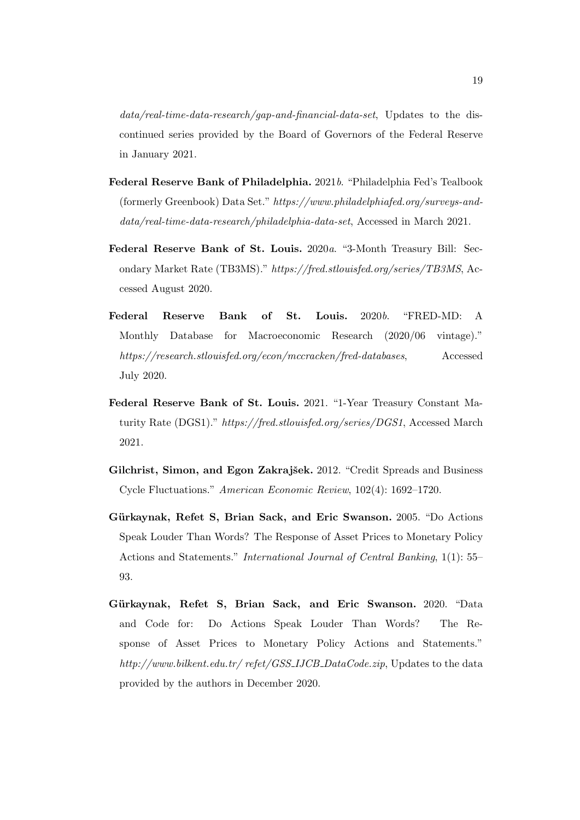$data/real-time-data-research/gap-and-finanical-data-set$ , Updates to the discontinued series provided by the Board of Governors of the Federal Reserve in January 2021.

- <span id="page-18-0"></span>Federal Reserve Bank of Philadelphia. 2021b. "Philadelphia Fed's Tealbook (formerly Greenbook) Data Set." [https://www.philadelphiafed.org/surveys-and](https://www.philadelphiafed.org/surveys-and-data/real-time-data-research/philadelphia-data-set)[data/real-time-data-research/philadelphia-data-set](https://www.philadelphiafed.org/surveys-and-data/real-time-data-research/philadelphia-data-set), Accessed in March 2021.
- <span id="page-18-2"></span>Federal Reserve Bank of St. Louis. 2020a. "3-Month Treasury Bill: Secondary Market Rate (TB3MS)." <https://fred.stlouisfed.org/series/TB3MS>, Accessed August 2020.
- <span id="page-18-3"></span>Federal Reserve Bank of St. Louis. 2020b. "FRED-MD: A Monthly Database for Macroeconomic Research (2020/06 vintage)." <https://research.stlouisfed.org/econ/mccracken/fred-databases>, Accessed July 2020.
- <span id="page-18-1"></span>Federal Reserve Bank of St. Louis. 2021. "1-Year Treasury Constant Maturity Rate (DGS1)." <https://fred.stlouisfed.org/series/DGS1>, Accessed March 2021.
- <span id="page-18-4"></span>Gilchrist, Simon, and Egon Zakrajšek. 2012. "Credit Spreads and Business Cycle Fluctuations." American Economic Review, 102(4): 1692–1720.
- <span id="page-18-5"></span>Gürkaynak, Refet S, Brian Sack, and Eric Swanson. 2005. "Do Actions Speak Louder Than Words? The Response of Asset Prices to Monetary Policy Actions and Statements." International Journal of Central Banking, 1(1): 55– 93.
- <span id="page-18-6"></span>Gürkaynak, Refet S, Brian Sack, and Eric Swanson. 2020. "Data and Code for: Do Actions Speak Louder Than Words? The Response of Asset Prices to Monetary Policy Actions and Statements." [http://www.bilkent.edu.tr/ refet/GSS](http://www.bilkent.edu.tr/~refet/GSS_IJCB_DataCode.zip)\_IJCB\_DataCode.zip, Updates to the data provided by the authors in December 2020.